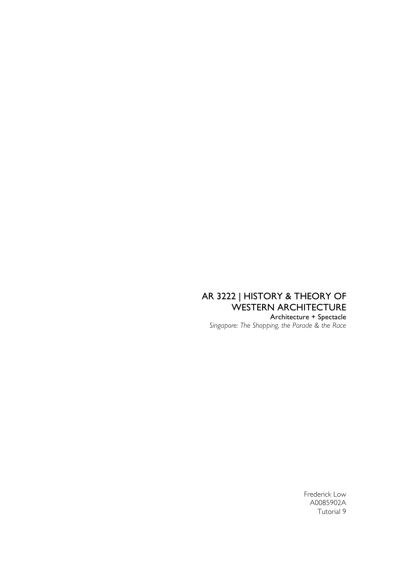# AR 3222 | HISTORY & THEORY OF WESTERN ARCHITECTURE

Architecture + Spectacle *Singapore: The Shopping, the Parade & the Race*

> Frederick Low A0085902A Tutorial 9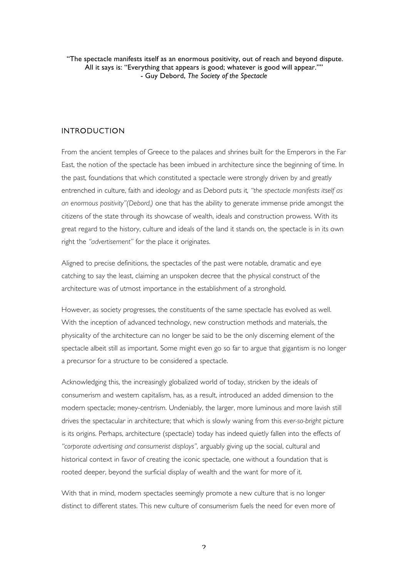"The spectacle manifests itself as an enormous positivity, out of reach and beyond dispute. All it says is: "Everything that appears is good; whatever is good will appear."" - Guy Debord, *The Society of the Spectacle*

#### INTRODUCTION

From the ancient temples of Greece to the palaces and shrines built for the Emperors in the Far East, the notion of the spectacle has been imbued in architecture since the beginning of time. In the past, foundations that which constituted a spectacle were strongly driven by and greatly entrenched in culture, faith and ideology and as Debord puts it*, "the spectacle manifests itself as an enormous positivity"(Debord,)* one that has the ability to generate immense pride amongst the citizens of the state through its showcase of wealth, ideals and construction prowess. With its great regard to the history, culture and ideals of the land it stands on, the spectacle is in its own right the *"advertisement"* for the place it originates.

Aligned to precise definitions, the spectacles of the past were notable, dramatic and eye catching to say the least, claiming an unspoken decree that the physical construct of the architecture was of utmost importance in the establishment of a stronghold.

However, as society progresses, the constituents of the same spectacle has evolved as well. With the inception of advanced technology, new construction methods and materials, the physicality of the architecture can no longer be said to be the only discerning element of the spectacle albeit still as important. Some might even go so far to argue that gigantism is no longer a precursor for a structure to be considered a spectacle.

Acknowledging this, the increasingly globalized world of today, stricken by the ideals of consumerism and western capitalism, has, as a result, introduced an added dimension to the modern spectacle; money-centrism. Undeniably, the larger, more luminous and more lavish still drives the spectacular in architecture; that which is slowly waning from this *ever-so-bright* picture is its origins. Perhaps, architecture (spectacle) today has indeed quietly fallen into the effects of *"corporate advertising and consumerist displays",* arguably giving up the social, cultural and historical context in favor of creating the iconic spectacle, one without a foundation that is rooted deeper, beyond the surficial display of wealth and the want for more of it.

With that in mind, modern spectacles seemingly promote a new culture that is no longer distinct to different states. This new culture of consumerism fuels the need for even more of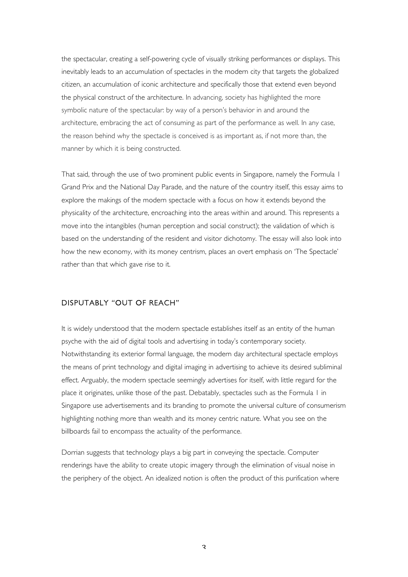the spectacular, creating a self-powering cycle of visually striking performances or displays. This inevitably leads to an accumulation of spectacles in the modern city that targets the globalized citizen, an accumulation of iconic architecture and specifically those that extend even beyond the physical construct of the architecture. In advancing, society has highlighted the more symbolic nature of the spectacular: by way of a person's behavior in and around the architecture, embracing the act of consuming as part of the performance as well. In any case, the reason behind why the spectacle is conceived is as important as, if not more than, the manner by which it is being constructed.

That said, through the use of two prominent public events in Singapore, namely the Formula 1 Grand Prix and the National Day Parade, and the nature of the country itself, this essay aims to explore the makings of the modern spectacle with a focus on how it extends beyond the physicality of the architecture, encroaching into the areas within and around. This represents a move into the intangibles (human perception and social construct); the validation of which is based on the understanding of the resident and visitor dichotomy. The essay will also look into how the new economy, with its money centrism, places an overt emphasis on 'The Spectacle' rather than that which gave rise to it.

#### DISPUTABLY "OUT OF REACH"

It is widely understood that the modern spectacle establishes itself as an entity of the human psyche with the aid of digital tools and advertising in today's contemporary society. Notwithstanding its exterior formal language, the modern day architectural spectacle employs the means of print technology and digital imaging in advertising to achieve its desired subliminal effect. Arguably, the modern spectacle seemingly advertises for itself, with little regard for the place it originates, unlike those of the past. Debatably, spectacles such as the Formula 1 in Singapore use advertisements and its branding to promote the universal culture of consumerism highlighting nothing more than wealth and its money centric nature. What you see on the billboards fail to encompass the actuality of the performance.

Dorrian suggests that technology plays a big part in conveying the spectacle. Computer renderings have the ability to create utopic imagery through the elimination of visual noise in the periphery of the object. An idealized notion is often the product of this purification where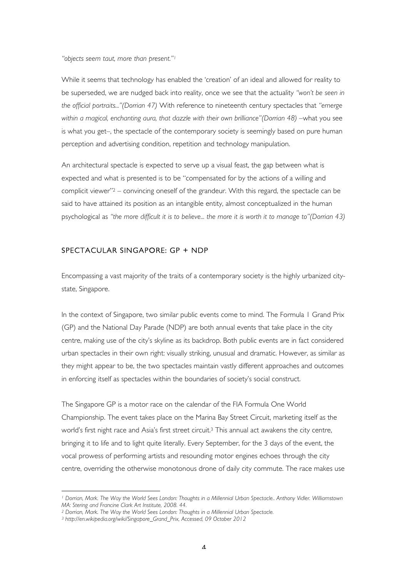*"objects seem taut, more than present."1*

While it seems that technology has enabled the 'creation' of an ideal and allowed for reality to be superseded, we are nudged back into reality, once we see that the actuality *"won't be seen in the official portraits..."(Dorrian 47)* With reference to nineteenth century spectacles that *"emerge within a magical, enchanting aura, that dazzle with their own brilliance"(Dorrian 48) –*what you see is what you get–, the spectacle of the contemporary society is seemingly based on pure human perception and advertising condition, repetition and technology manipulation.

An architectural spectacle is expected to serve up a visual feast, the gap between what is expected and what is presented is to be "compensated for by the actions of a willing and complicit viewer"2 – convincing oneself of the grandeur. With this regard, the spectacle can be said to have attained its position as an intangible entity, almost conceptualized in the human psychological as *"the more difficult it is to believe... the more it is worth it to manage to"(Dorrian 43)*

#### SPECTACULAR SINGAPORE: GP + NDP

Encompassing a vast majority of the traits of a contemporary society is the highly urbanized citystate, Singapore.

In the context of Singapore, two similar public events come to mind. The Formula 1 Grand Prix (GP) and the National Day Parade (NDP) are both annual events that take place in the city centre, making use of the city's skyline as its backdrop. Both public events are in fact considered urban spectacles in their own right: visually striking, unusual and dramatic. However, as similar as they might appear to be, the two spectacles maintain vastly different approaches and outcomes in enforcing itself as spectacles within the boundaries of society's social construct.

The Singapore GP is a motor race on the calendar of the FIA Formula One World Championship. The event takes place on the Marina Bay Street Circuit, marketing itself as the world's first night race and Asia's first street circuit.3 This annual act awakens the city centre, bringing it to life and to light quite literally. Every September, for the 3 days of the event, the vocal prowess of performing artists and resounding motor engines echoes through the city centre, overriding the otherwise monotonous drone of daily city commute. The race makes use

*<sup>1</sup> Dorrian, Mark. The Way the World Sees London: Thoughts in a Millennial Urban Spectacle.. Anthony Vidler. Williamstown MA: Stering and Francine Clark Art Institute, 2008. 44.*

*<sup>2</sup> Dorrian, Mark. The Way the World Sees London: Thoughts in a Millennial Urban Spectacle.*

*<sup>3</sup> http://en.wikipedia.org/wiki/Singapore\_Grand\_Prix, Accessed, 09 October 2012*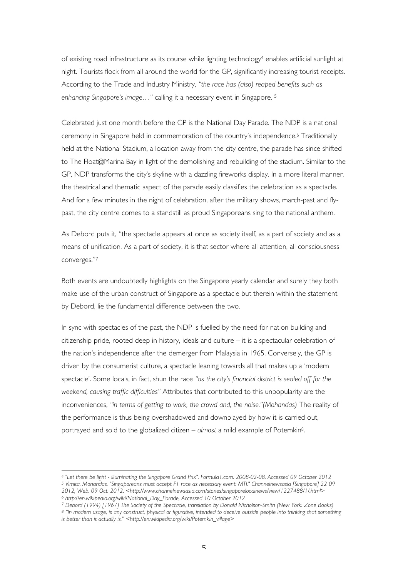of existing road infrastructure as its course while lighting technology4 enables artificial sunlight at night. Tourists flock from all around the world for the GP, significantly increasing tourist receipts. According to the Trade and Industry Ministry, *"the race has (also) reaped benefits such as enhancing Singapore's image…"* calling it a necessary event in Singapore. 5

Celebrated just one month before the GP is the National Day Parade. The NDP is a national ceremony in Singapore held in commemoration of the country's independence.6 Traditionally held at the National Stadium, a location away from the city centre, the parade has since shifted to The Float@Marina Bay in light of the demolishing and rebuilding of the stadium. Similar to the GP, NDP transforms the city's skyline with a dazzling fireworks display. In a more literal manner, the theatrical and thematic aspect of the parade easily classifies the celebration as a spectacle. And for a few minutes in the night of celebration, after the military shows, march-past and flypast, the city centre comes to a standstill as proud Singaporeans sing to the national anthem.

As Debord puts it, "the spectacle appears at once as society itself, as a part of society and as a means of unification. As a part of society, it is that sector where all attention, all consciousness converges."7

Both events are undoubtedly highlights on the Singapore yearly calendar and surely they both make use of the urban construct of Singapore as a spectacle but therein within the statement by Debord, lie the fundamental difference between the two.

In sync with spectacles of the past, the NDP is fuelled by the need for nation building and citizenship pride, rooted deep in history, ideals and culture – it is a spectacular celebration of the nation's independence after the demerger from Malaysia in 1965. Conversely, the GP is driven by the consumerist culture, a spectacle leaning towards all that makes up a 'modern spectacle'. Some locals, in fact, shun the race *"as the city's financial district is sealed off for the weekend, causing traffic difficulties"* Attributes that contributed to this unpopularity are the inconveniences, *"in terms of getting to work, the crowd and, the noise."(Mohandas)* The reality of the performance is thus being overshadowed and downplayed by how it is carried out, portrayed and sold to the globalized citizen – *almost* a mild example of Potemkin8.

*<sup>4</sup> "Let there be light - illuminating the Singapore Grand Prix". Formula1.com. 2008-02-08. Accessed 09 October 2012 <sup>5</sup> Vimita, Mohandas. "Singaporeans must accept F1 race as necessary event: MTI." Channelnewsasia [Singapore] 22 09 2012, Web. 09 Oct. 2012. <http://www.channelnewsasia.com/stories/singaporelocalnews/view/1227488/1/.html> <sup>6</sup> http://en.wikipedia.org/wiki/National\_Day\_Parade, Accessed 10 October 2012*

*<sup>7</sup> Debord (1994) [1967] The Society of the Spectacle, translation by Donald Nicholson-Smith (New York: Zone Books)*

*<sup>8</sup> "In modern usage, is any construct, physical or figurative, intended to deceive outside people into thinking that something is better than it actually is." <http://en.wikipedia.org/wiki/Potemkin\_village>*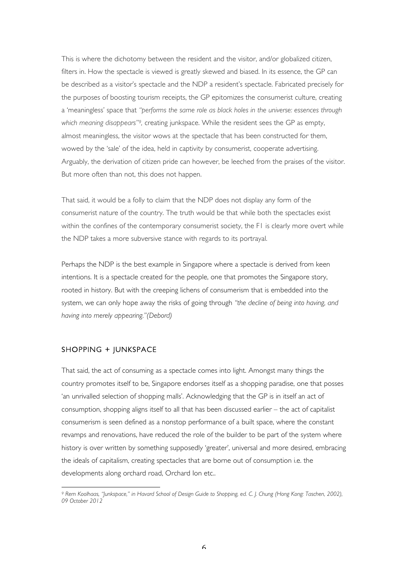This is where the dichotomy between the resident and the visitor, and/or globalized citizen, filters in. How the spectacle is viewed is greatly skewed and biased. In its essence, the GP can be described as a visitor's spectacle and the NDP a resident's spectacle. Fabricated precisely for the purposes of boosting tourism receipts, the GP epitomizes the consumerist culture, creating a 'meaningless' space that *"performs the same role as black holes in the universe: essences through which meaning disappears"9,* creating junkspace. While the resident sees the GP as empty, almost meaningless, the visitor wows at the spectacle that has been constructed for them, wowed by the 'sale' of the idea, held in captivity by consumerist, cooperate advertising. Arguably, the derivation of citizen pride can however, be leeched from the praises of the visitor. But more often than not, this does not happen.

That said, it would be a folly to claim that the NDP does not display any form of the consumerist nature of the country. The truth would be that while both the spectacles exist within the confines of the contemporary consumerist society, the F1 is clearly more overt while the NDP takes a more subversive stance with regards to its portrayal.

Perhaps the NDP is the best example in Singapore where a spectacle is derived from keen intentions. It is a spectacle created for the people, one that promotes the Singapore story, rooted in history. But with the creeping lichens of consumerism that is embedded into the system, we can only hope away the risks of going through *"the decline of being into having, and having into merely appearing."(Debord)*

#### SHOPPING + JUNKSPACE

 

That said, the act of consuming as a spectacle comes into light. Amongst many things the country promotes itself to be, Singapore endorses itself as a shopping paradise, one that posses 'an unrivalled selection of shopping malls'. Acknowledging that the GP is in itself an act of consumption, shopping aligns itself to all that has been discussed earlier – the act of capitalist consumerism is seen defined as a nonstop performance of a built space, where the constant revamps and renovations, have reduced the role of the builder to be part of the system where history is over written by something supposedly 'greater', universal and more desired, embracing the ideals of capitalism, creating spectacles that are borne out of consumption i.e. the developments along orchard road, Orchard Ion etc..

*<sup>9</sup> Rem Koolhaas, "Junkspace," in Havard School of Design Guide to Shopping, ed. C. J. Chung (Hong Kong: Taschen, 2002), 09 October 2012*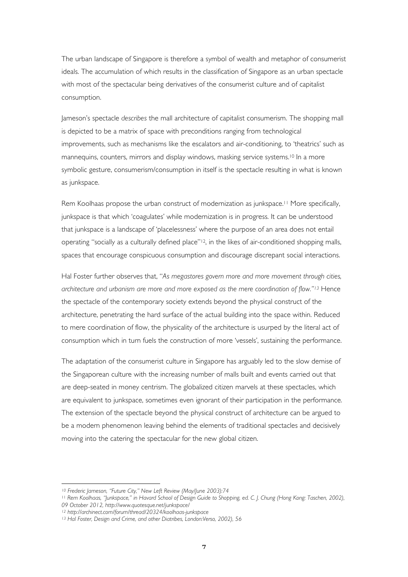The urban landscape of Singapore is therefore a symbol of wealth and metaphor of consumerist ideals. The accumulation of which results in the classification of Singapore as an urban spectacle with most of the spectacular being derivatives of the consumerist culture and of capitalist consumption.

Jameson's spectacle *describes* the mall architecture of capitalist consumerism. The shopping mall is depicted to be a matrix of space with preconditions ranging from technological improvements, such as mechanisms like the escalators and air-conditioning, to 'theatrics' such as mannequins, counters, mirrors and display windows, masking service systems.<sup>10</sup> In a more symbolic gesture, consumerism/consumption in itself is the spectacle resulting in what is known as junkspace.

Rem Koolhaas propose the urban construct of modernization as junkspace.<sup>11</sup> More specifically, junkspace is that which 'coagulates' while modernization is in progress. It can be understood that junkspace is a landscape of 'placelessness' where the purpose of an area does not entail operating "socially as a culturally defined place"12, in the likes of air-conditioned shopping malls, spaces that encourage conspicuous consumption and discourage discrepant social interactions.

Hal Foster further observes that, "*As megastores govern more and more movement through cities, architecture and urbanism are more and more exposed as the mere coordination of flow."13* Hence the spectacle of the contemporary society extends beyond the physical construct of the architecture, penetrating the hard surface of the actual building into the space within. Reduced to mere coordination of flow, the physicality of the architecture is usurped by the literal act of consumption which in turn fuels the construction of more 'vessels', sustaining the performance.

The adaptation of the consumerist culture in Singapore has arguably led to the slow demise of the Singaporean culture with the increasing number of malls built and events carried out that are deep-seated in money centrism. The globalized citizen marvels at these spectacles, which are equivalent to junkspace, sometimes even ignorant of their participation in the performance. The extension of the spectacle beyond the physical construct of architecture can be argued to be a modern phenomenon leaving behind the elements of traditional spectacles and decisively moving into the catering the spectacular for the new global citizen.

*<sup>10</sup> Frederic Jameson, "Future City," New Left Review (May/June 2003):74*

<sup>11</sup> *Rem Koolhaas, "Junkspace," in Havard School of Design Guide to Shopping, ed. C. J. Chung (Hong Kong: Taschen, 2002), 09 October 2012, http://www.quotesque.net/junkspace/*

*<sup>12</sup> http://archinect.com/forum/thread/20324/koolhaas-junkspace*

*<sup>13</sup> Hal Foster, Design and Crime, and other Diatribes, London:Verso, 2002), 56*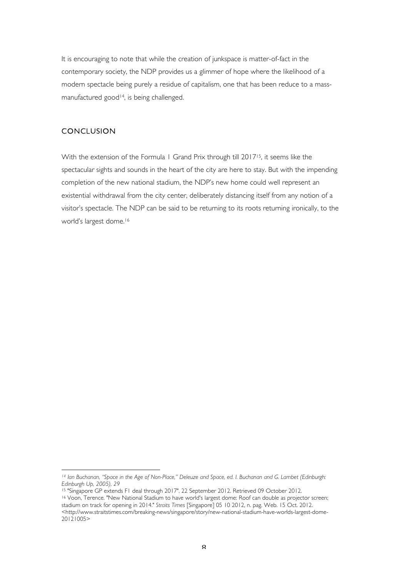It is encouraging to note that while the creation of junkspace is matter-of-fact in the contemporary society, the NDP provides us a glimmer of hope where the likelihood of a modern spectacle being purely a residue of capitalism, one that has been reduce to a massmanufactured good<sup>14</sup>, is being challenged.

## **CONCLUSION**

With the extension of the Formula 1 Grand Prix through till 201715, it seems like the spectacular sights and sounds in the heart of the city are here to stay. But with the impending completion of the new national stadium, the NDP's new home could well represent an existential withdrawal from the city center, deliberately distancing itself from any notion of a visitor's spectacle. The NDP can be said to be returning to its roots returning ironically, to the world's largest dome.16

*<sup>14</sup> Ian Buchanan, "Space in the Age of Non-Place," Deleuze and Space, ed. I. Buchanan and G. Lambet (Edinburgh: Edinburgh Up, 2005), 29*

<sup>15</sup> "Singapore GP extends F1 deal through 2017". 22 September 2012. Retrieved 09 October 2012.

<sup>16</sup> Voon, Terence. "New National Stadium to have world's largest dome: Roof can double as projector screen; stadium on track for opening in 2014." *Straits Times* [Singapore] 05 10 2012, n. pag. Web. 15 Oct. 2012. <http://www.straitstimes.com/breaking-news/singapore/story/new-national-stadium-have-worlds-largest-dome-20121005>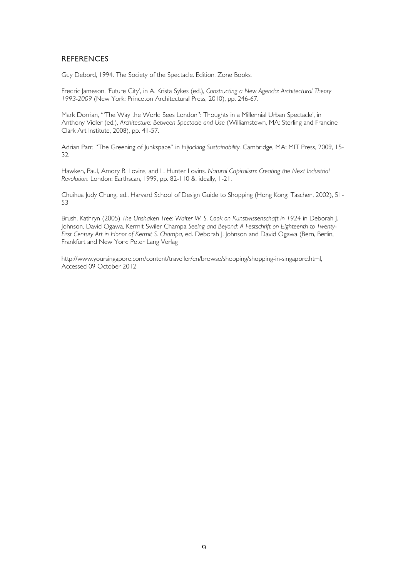### **REFERENCES**

Guy Debord, 1994. The Society of the Spectacle. Edition. Zone Books.

Fredric Jameson, 'Future City', in A. Krista Sykes (ed.), *Constructing a New Agenda: Architectural Theory 1993-2009* (New York: Princeton Architectural Press, 2010), pp. 246-67.

Mark Dorrian, '"The Way the World Sees London": Thoughts in a Millennial Urban Spectacle', in Anthony Vidler (ed.), *Architecture: Between Spectacle and Use* (Williamstown, MA: Sterling and Francine Clark Art Institute, 2008), pp. 41-57.

Adrian Parr, "The Greening of Junkspace" in *Hijacking Sustainability.* Cambridge, MA: MIT Press, 2009, 15- 32.

Hawken, Paul, Amory B. Lovins, and L. Hunter Lovins. *Natural Capitalism: Creating the Next Industrial Revolution.* London: Earthscan, 1999, pp. 82-110 &, ideally, 1-21.

Chuihua Judy Chung, ed., Harvard School of Design Guide to Shopping (Hong Kong: Taschen, 2002), 51- 53

Brush, Kathryn (2005) *The Unshaken Tree: Walter W. S. Cook on Kunstwissenschaft in 1924* in Deborah J. Johnson, David Ogawa, Kermit Swiler Champa *Seeing and Beyond: A Festschrift on Eighteenth to Twenty-First Century Art in Honor of Kermit S. Champa*, ed. Deborah J. Johnson and David Ogawa (Bern, Berlin, Frankfurt and New York: Peter Lang Verlag

http://www.yoursingapore.com/content/traveller/en/browse/shopping/shopping-in-singapore.html, Accessed 09 October 2012